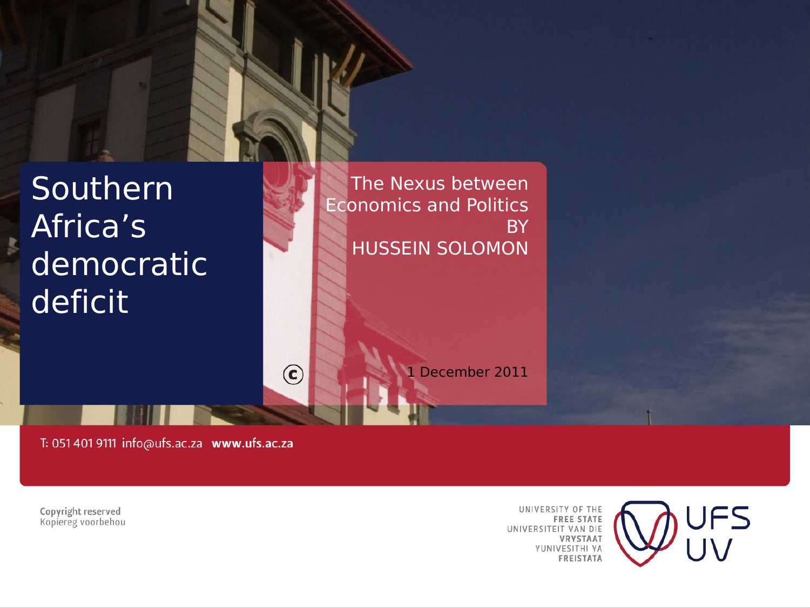

The Nexus between Economics and Politics **BY** HUSSEIN SOLOMON

1 December 2011

T: 051 401 9111 info@ufs.ac.za www.ufs.ac.za

 $\odot$ 

Copyright reserved Kopiereg voorbehou

UNIVERSITY OF THE **FREE STATE** UNIVERSITEIT VAN DIE VRYSTAAT YUNIVESITHI YA **FREISTATA** 

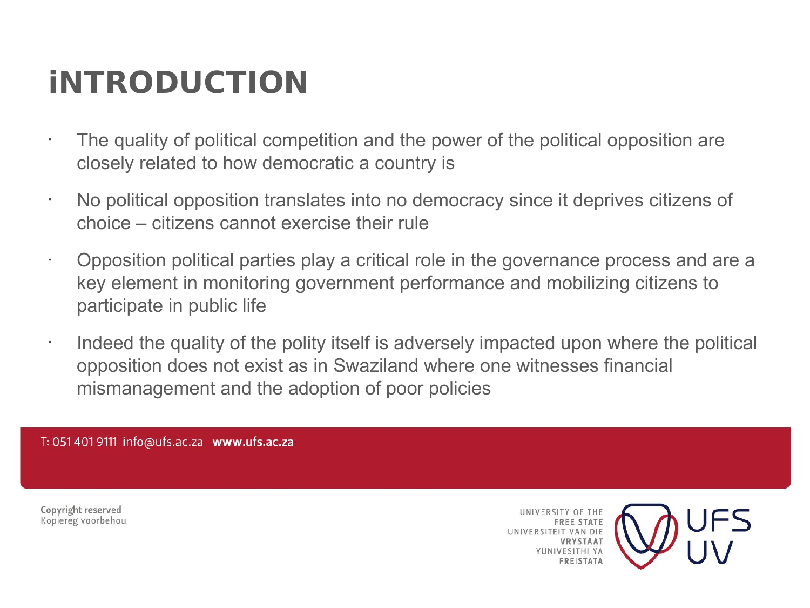# **iNTRODUCTION**

- $\cdot$  The quality of political competition and the power of the political opposition are closely related to how democratic a country is
- No political opposition translates into no democracy since it deprives citizens of choice – citizens cannot exercise their rule
- Opposition political parties play a critical role in the governance process and are a key element in monitoring government performance and mobilizing citizens to participate in public life
- Indeed the quality of the polity itself is adversely impacted upon where the political opposition does not exist as in Swaziland where one witnesses financial mismanagement and the adoption of poor policies

T: 051 401 9111 info@ufs.ac.za www.ufs.ac.za

Copyright reserved Kopiereg voorbehou

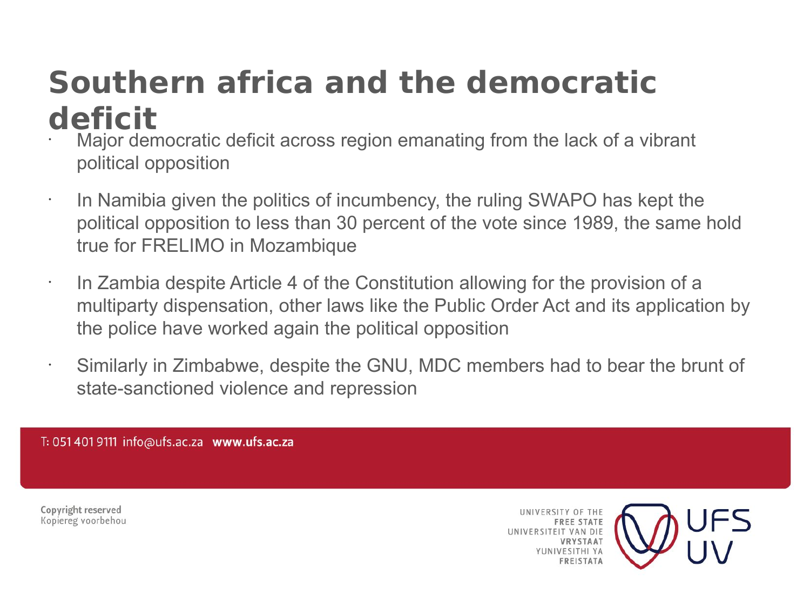### **Southern africa and the democratic deficit**

- Major democratic deficit across region emanating from the lack of a vibrant political opposition
- In Namibia given the politics of incumbency, the ruling SWAPO has kept the political opposition to less than 30 percent of the vote since 1989, the same hold true for FRELIMO in Mozambique
- In Zambia despite Article 4 of the Constitution allowing for the provision of a multiparty dispensation, other laws like the Public Order Act and its application by the police have worked again the political opposition
- Similarly in Zimbabwe, despite the GNU, MDC members had to bear the brunt of state-sanctioned violence and repression

T: 051 401 9111 info@ufs.ac.za www.ufs.ac.za

Copyright reserved Kopiereg voorbehou

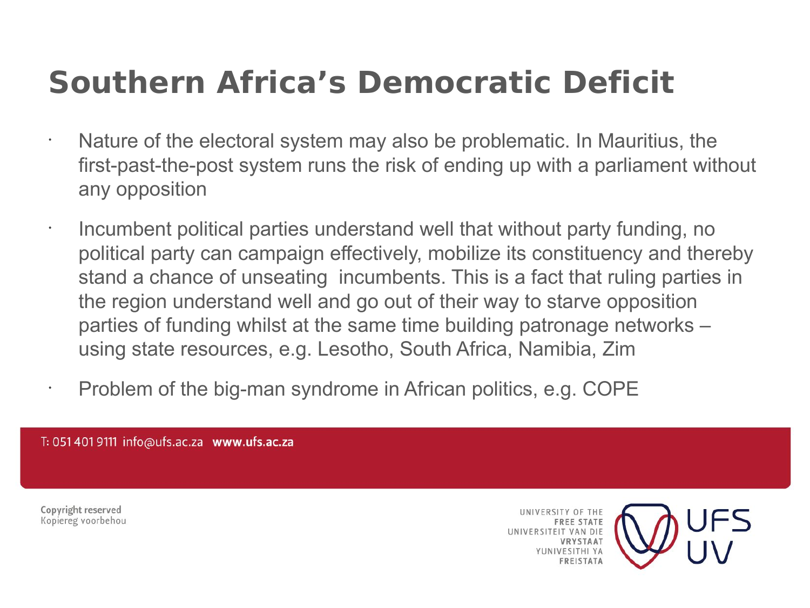## **Southern Africa's Democratic Deficit**

- Nature of the electoral system may also be problematic. In Mauritius, the first-past-the-post system runs the risk of ending up with a parliament without any opposition
	- Incumbent political parties understand well that without party funding, no political party can campaign effectively, mobilize its constituency and thereby stand a chance of unseating incumbents. This is a fact that ruling parties in the region understand well and go out of their way to starve opposition parties of funding whilst at the same time building patronage networks – using state resources, e.g. Lesotho, South Africa, Namibia, Zim
- Problem of the big-man syndrome in African politics, e.g. COPE

T: 051 401 9111 info@ufs.ac.za www.ufs.ac.za

Copyright reserved Kopiereg voorbehou

•

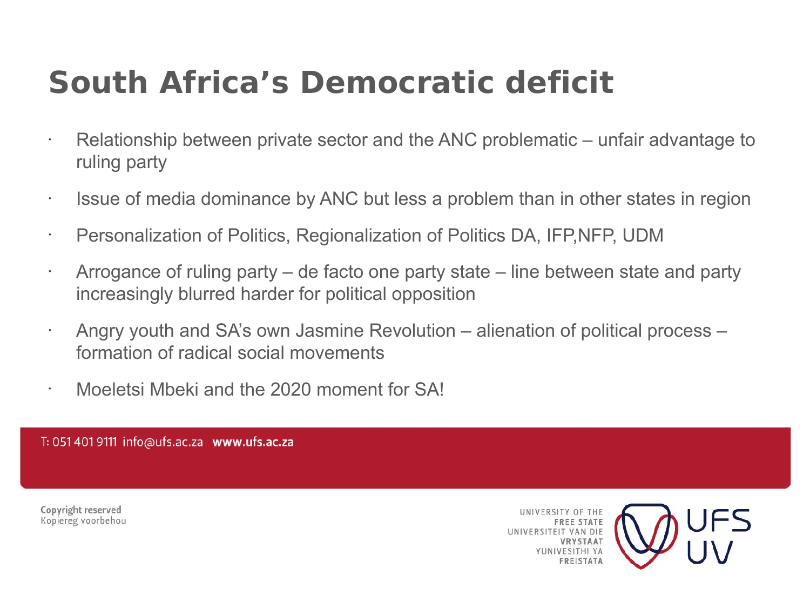# **South Africa's Democratic deficit**

- $\cdot$  Relationship between private sector and the ANC problematic unfair advantage to ruling party
- Issue of media dominance by ANC but less a problem than in other states in region
- Personalization of Politics, Regionalization of Politics DA, IFP,NFP, UDM
- Arrogance of ruling party de facto one party state line between state and party increasingly blurred harder for political opposition
- Angry youth and SA's own Jasmine Revolution alienation of political process formation of radical social movements
- Moeletsi Mbeki and the 2020 moment for SA!

T: 051 401 9111 info@ufs.ac.za www.ufs.ac.za

Copyright reserved Kopiereg voorbehou

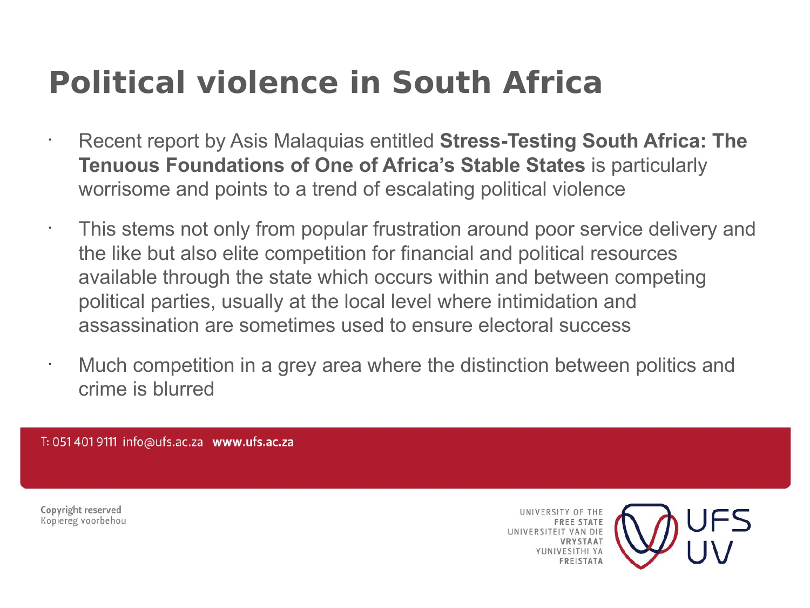# **Political violence in South Africa**

- Recent report by Asis Malaquias entitled **Stress-Testing South Africa: The Tenuous Foundations of One of Africa's Stable States** is particularly worrisome and points to a trend of escalating political violence
- This stems not only from popular frustration around poor service delivery and the like but also elite competition for financial and political resources available through the state which occurs within and between competing political parties, usually at the local level where intimidation and assassination are sometimes used to ensure electoral success
- Much competition in a grey area where the distinction between politics and crime is blurred

T: 051 401 9111 info@ufs.ac.za www.ufs.ac.za

Copyright reserved Kopiereg voorbehou

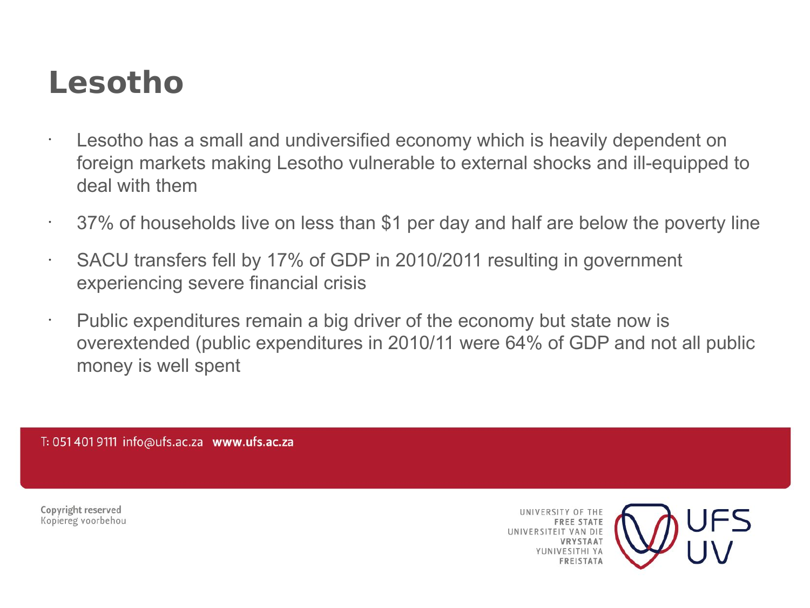### **Lesotho**

- Lesotho has a small and undiversified economy which is heavily dependent on foreign markets making Lesotho vulnerable to external shocks and ill-equipped to deal with them
- $\cdot$  37% of households live on less than \$1 per day and half are below the poverty line
- SACU transfers fell by 17% of GDP in 2010/2011 resulting in government experiencing severe financial crisis
- Public expenditures remain a big driver of the economy but state now is overextended (public expenditures in 2010/11 were 64% of GDP and not all public money is well spent

T: 051 401 9111 info@ufs.ac.za www.ufs.ac.za

Copyright reserved Kopiereg voorbehou

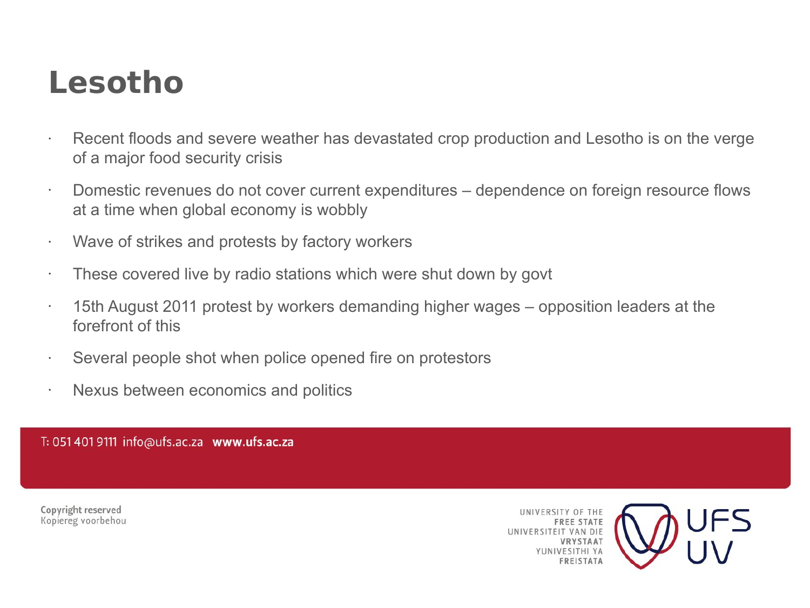#### **Lesotho**

- Recent floods and severe weather has devastated crop production and Lesotho is on the verge of a major food security crisis
- Domestic revenues do not cover current expenditures dependence on foreign resource flows at a time when global economy is wobbly
- Wave of strikes and protests by factory workers
- $\cdot$  These covered live by radio stations which were shut down by govt
- 15th August 2011 protest by workers demanding higher wages opposition leaders at the forefront of this
- Several people shot when police opened fire on protestors
- Nexus between economics and politics

T: 051 401 9111 info@ufs.ac.za www.ufs.ac.za

Copyright reserved Kopiereg voorbehou

UNIVERSITY OF THE **FREE STATE** UNIVERSITEIT VAN DIE **IRVSTAAT VESITHI VA FREISTATA** 

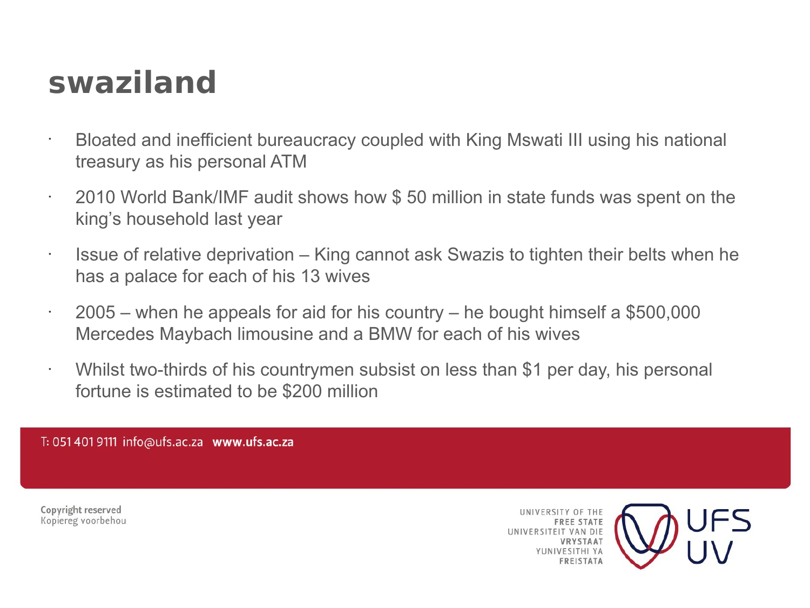### **swaziland**

- Bloated and inefficient bureaucracy coupled with King Mswati III using his national treasury as his personal ATM
- 2010 World Bank/IMF audit shows how \$ 50 million in state funds was spent on the king's household last year
- Issue of relative deprivation – King cannot ask Swazis to tighten their belts when he has a palace for each of his 13 wives
- $\cdot$  2005 when he appeals for aid for his country he bought himself a \$500,000 Mercedes Maybach limousine and a BMW for each of his wives
- $\cdot$  Whilst two-thirds of his countrymen subsist on less than \$1 per day, his personal fortune is estimated to be \$200 million

T: 051 401 9111 info@ufs.ac.za www.ufs.ac.za

Copyright reserved Kopiereg voorbehou

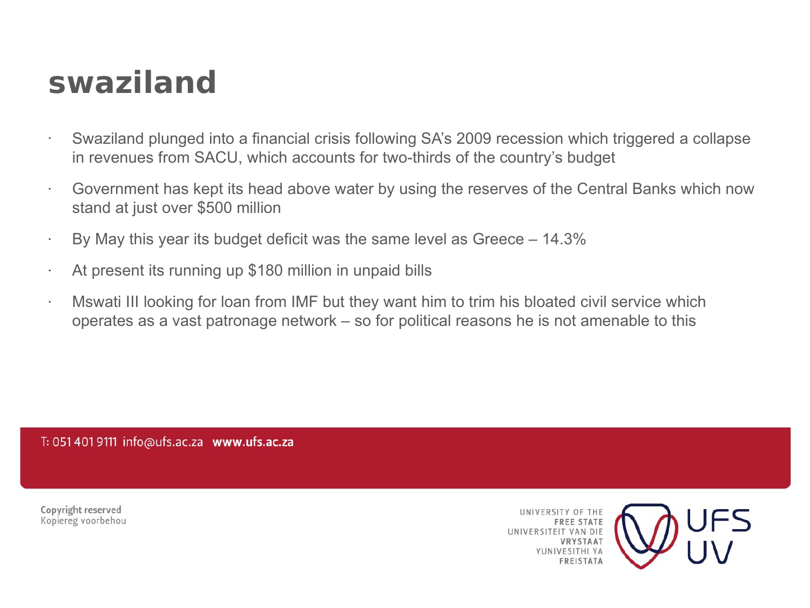#### **swaziland**

- Swaziland plunged into a financial crisis following SA's 2009 recession which triggered a collapse in revenues from SACU, which accounts for two-thirds of the country's budget
- Government has kept its head above water by using the reserves of the Central Banks which now stand at just over \$500 million
- $\cdot$  By May this year its budget deficit was the same level as Greece 14.3%
- At present its running up \$180 million in unpaid bills
- Mswati III looking for loan from IMF but they want him to trim his bloated civil service which operates as a vast patronage network – so for political reasons he is not amenable to this

T: 051 401 9111 info@ufs.ac.za www.ufs.ac.za

Copyright reserved Kopiereg voorbehou

UNIVERSITY OF THE **FREE STATE** UNIVERSITEIT VAN DIE VRYSTAAT **VESITHI VA FREISTATA** 

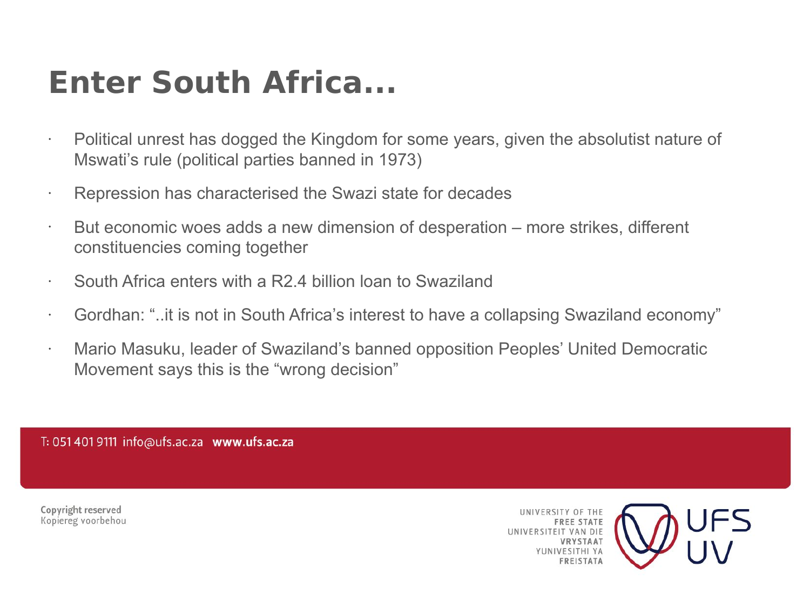### **Enter South Africa...**

- Political unrest has dogged the Kingdom for some years, given the absolutist nature of Mswati's rule (political parties banned in 1973)
- Repression has characterised the Swazi state for decades
- $\cdot$  But economic woes adds a new dimension of desperation more strikes, different constituencies coming together
- South Africa enters with a R2.4 billion loan to Swaziland
- Gordhan: "..it is not in South Africa's interest to have a collapsing Swaziland economy"
- Mario Masuku, leader of Swaziland's banned opposition Peoples' United Democratic Movement says this is the "wrong decision"

T: 051 401 9111 info@ufs.ac.za www.ufs.ac.za

Copyright reserved Kopiereg voorbehou

UNIVERSITY OF THE **FREE STATE** UNIVERSITEIT VAN DIE **IBVSTAAT VESITHI VA FREISTATA** 

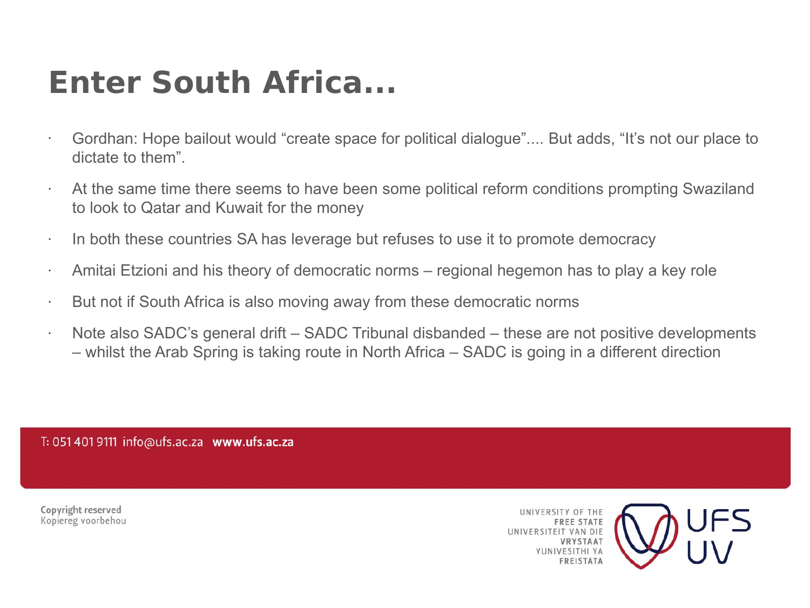### **Enter South Africa...**

- Gordhan: Hope bailout would "create space for political dialogue".... But adds, "It's not our place to dictate to them".
- At the same time there seems to have been some political reform conditions prompting Swaziland to look to Qatar and Kuwait for the money
- $\cdot$  In both these countries SA has leverage but refuses to use it to promote democracy
- $\cdot$  Amitai Etzioni and his theory of democratic norms regional hegemon has to play a key role
- But not if South Africa is also moving away from these democratic norms
- $\cdot$  Note also SADC's general drift SADC Tribunal disbanded these are not positive developments – whilst the Arab Spring is taking route in North Africa – SADC is going in a different direction

T: 051 401 9111 info@ufs.ac.za www.ufs.ac.za

Copyright reserved Kopiereg voorbehou